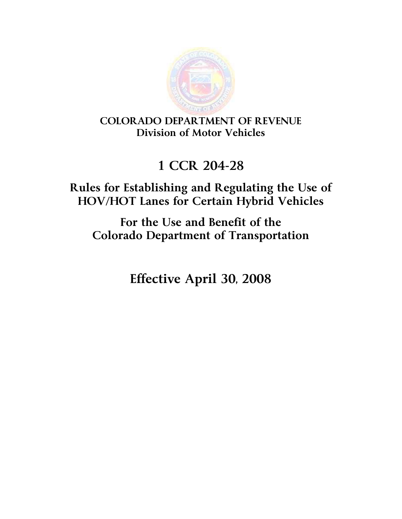

COLORADO DEPARTMENT OF REVENUE Division of Motor Vehicles

# 1 CCR 204-28

# Rules for Establishing and Regulating the Use of HOV/HOT Lanes for Certain Hybrid Vehicles

For the Use and Benefit of the Colorado Department of Transportation

Effective April 30, 2008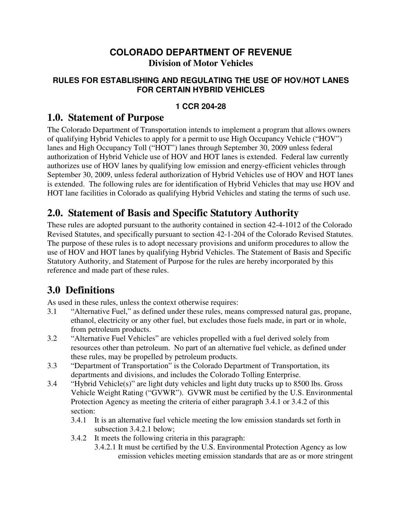#### **COLORADO DEPARTMENT OF REVENUE Division of Motor Vehicles**

#### **RULES FOR ESTABLISHING AND REGULATING THE USE OF HOV/HOT LANES FOR CERTAIN HYBRID VEHICLES**

#### **1 CCR 204-28**

#### **1.0. Statement of Purpose**

The Colorado Department of Transportation intends to implement a program that allows owners of qualifying Hybrid Vehicles to apply for a permit to use High Occupancy Vehicle ("HOV") lanes and High Occupancy Toll ("HOT") lanes through September 30, 2009 unless federal authorization of Hybrid Vehicle use of HOV and HOT lanes is extended. Federal law currently authorizes use of HOV lanes by qualifying low emission and energy-efficient vehicles through September 30, 2009, unless federal authorization of Hybrid Vehicles use of HOV and HOT lanes is extended.The following rules are for identification of Hybrid Vehicles that may use HOV and HOT lane facilities in Colorado as qualifying Hybrid Vehicles and stating the terms of such use.

## **2.0. Statement of Basis and Specific Statutory Authority**

These rules are adopted pursuant to the authority contained in section 42-4-1012 of the Colorado Revised Statutes, and specifically pursuant to section 42-1-204 of the Colorado Revised Statutes. The purpose of these rules is to adopt necessary provisions and uniform procedures to allow the use of HOV and HOT lanes by qualifying Hybrid Vehicles. The Statement of Basis and Specific Statutory Authority, and Statement of Purpose for the rules are hereby incorporated by this reference and made part of these rules.

# **3.0 Definitions**

As used in these rules, unless the context otherwise requires:

- 3.1 "Alternative Fuel," as defined under these rules, means compressed natural gas, propane, ethanol, electricity or any other fuel, but excludes those fuels made, in part or in whole, from petroleum products.
- 3.2 "Alternative Fuel Vehicles" are vehicles propelled with a fuel derived solely from resources other than petroleum. No part of an alternative fuel vehicle, as defined under these rules, may be propelled by petroleum products.
- 3.3 "Department of Transportation" is the Colorado Department of Transportation, its departments and divisions, and includes the Colorado Tolling Enterprise.
- 3.4 "Hybrid Vehicle(s)" are light duty vehicles and light duty trucks up to 8500 lbs. Gross Vehicle Weight Rating ("GVWR"). GVWR must be certified by the U.S. Environmental Protection Agency as meeting the criteria of either paragraph 3.4.1 or 3.4.2 of this section:
	- 3.4.1 It is an alternative fuel vehicle meeting the low emission standards set forth in subsection 3.4.2.1 below;
	- 3.4.2 It meets the following criteria in this paragraph:
		- 3.4.2.1 It must be certified by the U.S. Environmental Protection Agency as low emission vehicles meeting emission standards that are as or more stringent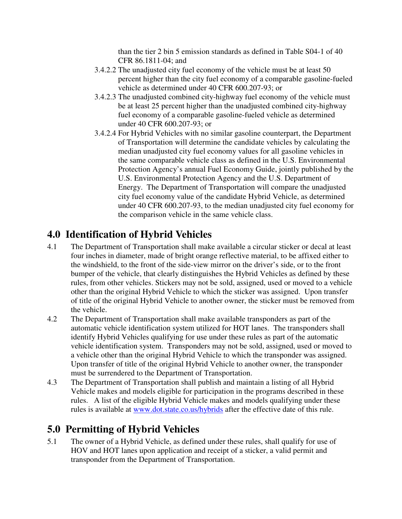than the tier 2 bin 5 emission standards as defined in Table S04-1 of 40 CFR 86.1811-04; and

- 3.4.2.2 The unadjusted city fuel economy of the vehicle must be at least 50 percent higher than the city fuel economy of a comparable gasoline-fueled vehicle as determined under 40 CFR 600.207-93; or
- 3.4.2.3 The unadjusted combined city-highway fuel economy of the vehicle must be at least 25 percent higher than the unadjusted combined city-highway fuel economy of a comparable gasoline-fueled vehicle as determined under 40 CFR 600.207-93; or
- 3.4.2.4 For Hybrid Vehicles with no similar gasoline counterpart, the Department of Transportation will determine the candidate vehicles by calculating the median unadjusted city fuel economy values for all gasoline vehicles in the same comparable vehicle class as defined in the U.S. Environmental Protection Agency's annual Fuel Economy Guide, jointly published by the U.S. Environmental Protection Agency and the U.S. Department of Energy. The Department of Transportation will compare the unadjusted city fuel economy value of the candidate Hybrid Vehicle, as determined under 40 CFR 600.207-93, to the median unadjusted city fuel economy for the comparison vehicle in the same vehicle class.

## **4.0 Identification of Hybrid Vehicles**

- 4.1 The Department of Transportation shall make available a circular sticker or decal at least four inches in diameter, made of bright orange reflective material, to be affixed either to the windshield, to the front of the side-view mirror on the driver's side, or to the front bumper of the vehicle, that clearly distinguishes the Hybrid Vehicles as defined by these rules, from other vehicles. Stickers may not be sold, assigned, used or moved to a vehicle other than the original Hybrid Vehicle to which the sticker was assigned. Upon transfer of title of the original Hybrid Vehicle to another owner, the sticker must be removed from the vehicle.
- 4.2 The Department of Transportation shall make available transponders as part of the automatic vehicle identification system utilized for HOT lanes. The transponders shall identify Hybrid Vehicles qualifying for use under these rules as part of the automatic vehicle identification system. Transponders may not be sold, assigned, used or moved to a vehicle other than the original Hybrid Vehicle to which the transponder was assigned. Upon transfer of title of the original Hybrid Vehicle to another owner, the transponder must be surrendered to the Department of Transportation.
- 4.3 The Department of Transportation shall publish and maintain a listing of all Hybrid Vehicle makes and models eligible for participation in the programs described in these rules. A list of the eligible Hybrid Vehicle makes and models qualifying under these rules is available at www.dot.state.co.us/hybrids after the effective date of this rule.

# **5.0 Permitting of Hybrid Vehicles**

5.1 The owner of a Hybrid Vehicle, as defined under these rules, shall qualify for use of HOV and HOT lanes upon application and receipt of a sticker, a valid permit and transponder from the Department of Transportation.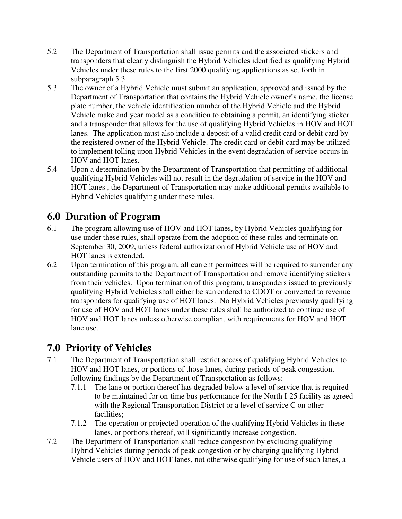- 5.2 The Department of Transportation shall issue permits and the associated stickers and transponders that clearly distinguish the Hybrid Vehicles identified as qualifying Hybrid Vehicles under these rules to the first 2000 qualifying applications as set forth in subparagraph 5.3.
- 5.3 The owner of a Hybrid Vehicle must submit an application, approved and issued by the Department of Transportation that contains the Hybrid Vehicle owner's name, the license plate number, the vehicle identification number of the Hybrid Vehicle and the Hybrid Vehicle make and year model as a condition to obtaining a permit, an identifying sticker and a transponder that allows for the use of qualifying Hybrid Vehicles in HOV and HOT lanes. The application must also include a deposit of a valid credit card or debit card by the registered owner of the Hybrid Vehicle. The credit card or debit card may be utilized to implement tolling upon Hybrid Vehicles in the event degradation of service occurs in HOV and HOT lanes.
- 5.4 Upon a determination by the Department of Transportation that permitting of additional qualifying Hybrid Vehicles will not result in the degradation of service in the HOV and HOT lanes , the Department of Transportation may make additional permits available to Hybrid Vehicles qualifying under these rules.

### **6.0 Duration of Program**

- 6.1 The program allowing use of HOV and HOT lanes, by Hybrid Vehicles qualifying for use under these rules, shall operate from the adoption of these rules and terminate on September 30, 2009, unless federal authorization of Hybrid Vehicle use of HOV and HOT lanes is extended.
- 6.2 Upon termination of this program, all current permittees will be required to surrender any outstanding permits to the Department of Transportation and remove identifying stickers from their vehicles. Upon termination of this program, transponders issued to previously qualifying Hybrid Vehicles shall either be surrendered to CDOT or converted to revenue transponders for qualifying use of HOT lanes. No Hybrid Vehicles previously qualifying for use of HOV and HOT lanes under these rules shall be authorized to continue use of HOV and HOT lanes unless otherwise compliant with requirements for HOV and HOT lane use.

### **7.0 Priority of Vehicles**

- 7.1 The Department of Transportation shall restrict access of qualifying Hybrid Vehicles to HOV and HOT lanes, or portions of those lanes, during periods of peak congestion, following findings by the Department of Transportation as follows:
	- 7.1.1 The lane or portion thereof has degraded below a level of service that is required to be maintained for on-time bus performance for the North I-25 facility as agreed with the Regional Transportation District or a level of service C on other facilities;
	- 7.1.2 The operation or projected operation of the qualifying Hybrid Vehicles in these lanes, or portions thereof, will significantly increase congestion.
- 7.2 The Department of Transportation shall reduce congestion by excluding qualifying Hybrid Vehicles during periods of peak congestion or by charging qualifying Hybrid Vehicle users of HOV and HOT lanes, not otherwise qualifying for use of such lanes, a